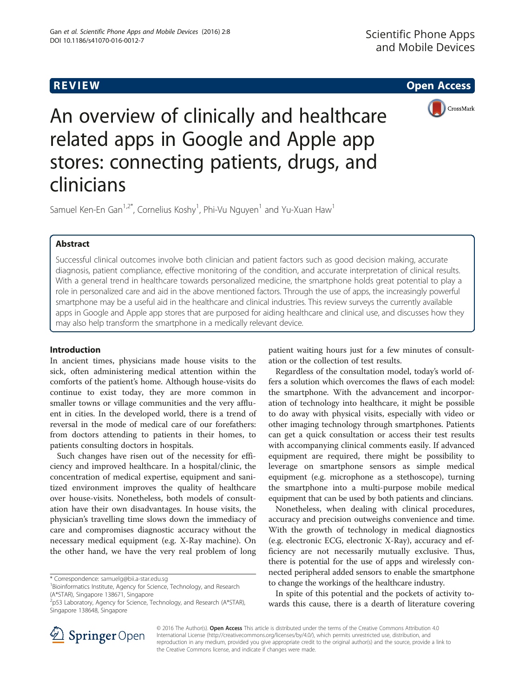**REVIEW CONSTRUCTION CONSTRUCTION CONSTRUCTS** 



An overview of clinically and healthcare related apps in Google and Apple app stores: connecting patients, drugs, and clinicians

Samuel Ken-En Gan<sup>1,2\*</sup>, Cornelius Koshy<sup>1</sup>, Phi-Vu Nguyen<sup>1</sup> and Yu-Xuan Haw<sup>1</sup>

# Abstract

Successful clinical outcomes involve both clinician and patient factors such as good decision making, accurate diagnosis, patient compliance, effective monitoring of the condition, and accurate interpretation of clinical results. With a general trend in healthcare towards personalized medicine, the smartphone holds great potential to play a role in personalized care and aid in the above mentioned factors. Through the use of apps, the increasingly powerful smartphone may be a useful aid in the healthcare and clinical industries. This review surveys the currently available apps in Google and Apple app stores that are purposed for aiding healthcare and clinical use, and discusses how they may also help transform the smartphone in a medically relevant device.

# Introduction

In ancient times, physicians made house visits to the sick, often administering medical attention within the comforts of the patient's home. Although house-visits do continue to exist today, they are more common in smaller towns or village communities and the very affluent in cities. In the developed world, there is a trend of reversal in the mode of medical care of our forefathers: from doctors attending to patients in their homes, to patients consulting doctors in hospitals.

Such changes have risen out of the necessity for efficiency and improved healthcare. In a hospital/clinic, the concentration of medical expertise, equipment and sanitized environment improves the quality of healthcare over house-visits. Nonetheless, both models of consultation have their own disadvantages. In house visits, the physician's travelling time slows down the immediacy of care and compromises diagnostic accuracy without the necessary medical equipment (e.g. X-Ray machine). On the other hand, we have the very real problem of long

\* Correspondence: [samuelg@bii.a-star.edu.sg](mailto:samuelg@bii.a-star.edu.sg) <sup>1</sup>

patient waiting hours just for a few minutes of consultation or the collection of test results.

Regardless of the consultation model, today's world offers a solution which overcomes the flaws of each model: the smartphone. With the advancement and incorporation of technology into healthcare, it might be possible to do away with physical visits, especially with video or other imaging technology through smartphones. Patients can get a quick consultation or access their test results with accompanying clinical comments easily. If advanced equipment are required, there might be possibility to leverage on smartphone sensors as simple medical equipment (e.g. microphone as a stethoscope), turning the smartphone into a multi-purpose mobile medical equipment that can be used by both patients and clincians.

Nonetheless, when dealing with clinical procedures, accuracy and precision outweighs convenience and time. With the growth of technology in medical diagnostics (e.g. electronic ECG, electronic X-Ray), accuracy and efficiency are not necessarily mutually exclusive. Thus, there is potential for the use of apps and wirelessly connected peripheral added sensors to enable the smartphone to change the workings of the healthcare industry.

In spite of this potential and the pockets of activity towards this cause, there is a dearth of literature covering



© 2016 The Author(s). Open Access This article is distributed under the terms of the Creative Commons Attribution 4.0 International License ([http://creativecommons.org/licenses/by/4.0/\)](http://creativecommons.org/licenses/by/4.0/), which permits unrestricted use, distribution, and reproduction in any medium, provided you give appropriate credit to the original author(s) and the source, provide a link to the Creative Commons license, and indicate if changes were made.

<sup>&</sup>lt;sup>1</sup>Bioinformatics Institute, Agency for Science, Technology, and Research (A\*STAR), Singapore 138671, Singapore

<sup>2</sup> p53 Laboratory, Agency for Science, Technology, and Research (A\*STAR), Singapore 138648, Singapore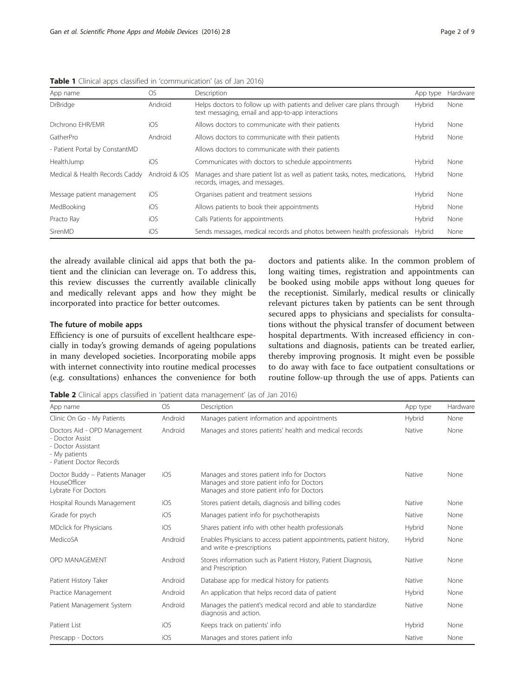| App name                       | <b>OS</b>     | Description                                                                                                                  | App type      | Hardware |
|--------------------------------|---------------|------------------------------------------------------------------------------------------------------------------------------|---------------|----------|
| <b>DrBridge</b>                | Android       | Helps doctors to follow up with patients and deliver care plans through<br>text messaging, email and app-to-app interactions | <b>Hybrid</b> | None     |
| Drchrono EHR/EMR               | iOS           | Allows doctors to communicate with their patients                                                                            | <b>Hybrid</b> | None     |
| GatherPro                      | Android       | Allows doctors to communicate with their patients                                                                            | Hybrid        | None     |
| - Patient Portal by ConstantMD |               | Allows doctors to communicate with their patients                                                                            |               |          |
| HealthJump                     | iOS           | Communicates with doctors to schedule appointments                                                                           | Hybrid        | None     |
| Medical & Health Records Caddy | Android & iOS | Manages and share patient list as well as patient tasks, notes, medications,<br>records, images, and messages.               | <b>Hybrid</b> | None     |
| Message patient management     | iOS           | Organises patient and treatment sessions                                                                                     | Hybrid        | None     |
| MedBooking                     | iOS           | Allows patients to book their appointments                                                                                   | Hybrid        | None     |
| Practo Ray                     | iOS           | Calls Patients for appointments                                                                                              | Hybrid        | None     |
| SirenMD                        | iOS           | Sends messages, medical records and photos between health professionals                                                      | <b>Hybrid</b> | None     |

<span id="page-1-0"></span>Table 1 Clinical apps classified in 'communication' (as of Jan 2016)

the already available clinical aid apps that both the patient and the clinician can leverage on. To address this, this review discusses the currently available clinically and medically relevant apps and how they might be incorporated into practice for better outcomes.

# The future of mobile apps

Efficiency is one of pursuits of excellent healthcare especially in today's growing demands of ageing populations in many developed societies. Incorporating mobile apps with internet connectivity into routine medical processes (e.g. consultations) enhances the convenience for both doctors and patients alike. In the common problem of long waiting times, registration and appointments can be booked using mobile apps without long queues for the receptionist. Similarly, medical results or clinically relevant pictures taken by patients can be sent through secured apps to physicians and specialists for consultations without the physical transfer of document between hospital departments. With increased efficiency in consultations and diagnosis, patients can be treated earlier, thereby improving prognosis. It might even be possible to do away with face to face outpatient consultations or routine follow-up through the use of apps. Patients can

Table 2 Clinical apps classified in 'patient data management' (as of Jan 2016)

| App name                                                                                                           | <b>OS</b> | Description                                                                                                                             | App type | Hardware |
|--------------------------------------------------------------------------------------------------------------------|-----------|-----------------------------------------------------------------------------------------------------------------------------------------|----------|----------|
| Clinic On Go - My Patients                                                                                         | Android   | Manages patient information and appointments                                                                                            | Hybrid   | None     |
| Doctors Aid - OPD Management<br>- Doctor Assist<br>- Doctor Assistant<br>- My patients<br>- Patient Doctor Records | Android   | Manages and stores patients' health and medical records                                                                                 | Native   | None     |
| Doctor Buddy - Patients Manager<br>HouseOfficer<br>Lybrate For Doctors                                             | iOS       | Manages and stores patient info for Doctors<br>Manages and store patient info for Doctors<br>Manages and store patient info for Doctors | Native   | None     |
| Hospital Rounds Management                                                                                         | iOS       | Stores patient details, diagnosis and billing codes                                                                                     | Native   | None     |
| iGrade for psych                                                                                                   | iOS       | Manages patient info for psychotherapists                                                                                               | Native   | None     |
| <b>MDclick for Physicians</b>                                                                                      | iOS       | Shares patient info with other health professionals                                                                                     | Hybrid   | None     |
| MedicoSA                                                                                                           | Android   | Enables Physicians to access patient appointments, patient history,<br>and write e-prescriptions                                        | Hybrid   | None     |
| <b>OPD MANAGEMENT</b>                                                                                              | Android   | Stores information such as Patient History, Patient Diagnosis,<br>and Prescription                                                      | Native   | None     |
| Patient History Taker                                                                                              | Android   | Database app for medical history for patients                                                                                           | Native   | None     |
| Practice Management                                                                                                | Android   | An application that helps record data of patient                                                                                        | Hybrid   | None     |
| Patient Management System                                                                                          | Android   | Manages the patient's medical record and able to standardize<br>diagnosis and action.                                                   | Native   | None     |
| Patient List                                                                                                       | iOS       | Keeps track on patients' info                                                                                                           | Hybrid   | None     |
| Prescapp - Doctors                                                                                                 | iOS       | Manages and stores patient info                                                                                                         | Native   | None     |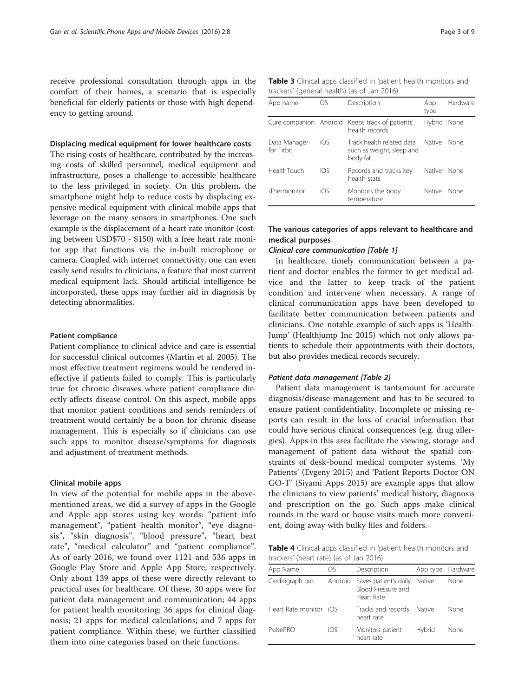<span id="page-2-0"></span>receive professional consultation through apps in the comfort of their homes, a scenario that is especially beneficial for elderly patients or those with high dependency to getting around.

#### Displacing medical equipment for lower healthcare costs

The rising costs of healthcare, contributed by the increasing costs of skilled personnel, medical equipment and infrastructure, poses a challenge to accessible healthcare to the less privileged in society. On this problem, the smartphone might help to reduce costs by displacing expensive medical equipment with clinical mobile apps that leverage on the many sensors in smartphones. One such example is the displacement of a heart rate monitor (costing between USD\$70 - \$150) with a free heart rate monitor app that functions via the in-built microphone or camera. Coupled with internet connectivity, one can even easily send results to clinicians, a feature that most current medical equipment lack. Should artificial intelligence be incorporated, these apps may further aid in diagnosis by detecting abnormalities.

#### Patient compliance

Patient compliance to clinical advice and care is essential for successful clinical outcomes (Martin et al. [2005](#page-8-0)). The most effective treatment regimens would be rendered ineffective if patients failed to comply. This is particularly true for chronic diseases where patient compliance directly affects disease control. On this aspect, mobile apps that monitor patient conditions and sends reminders of treatment would certainly be a boon for chronic disease management. This is especially so if clinicians can use such apps to monitor disease/symptoms for diagnosis and adjustment of treatment methods.

### Clinical mobile apps

In view of the potential for mobile apps in the abovementioned areas, we did a survey of apps in the Google and Apple app stores using key words: "patient info management", "patient health monitor", "eye diagnosis", "skin diagnosis", "blood pressure", "heart beat rate", "medical calculator" and "patient compliance". As of early 2016, we found over 1121 and 536 apps in Google Play Store and Apple App Store, respectively. Only about 139 apps of these were directly relevant to practical uses for healthcare. Of these, 30 apps were for patient data management and communication; 44 apps for patient health monitoring; 36 apps for clinical diagnosis; 21 apps for medical calculations; and 7 apps for patient compliance. Within these, we further classified them into nine categories based on their functions.

Table 3 Clinical apps classified in 'patient health monitors and trackers' (general health) (as of Jan 2016)

| App name                   | OS  | Description                                                        | App<br>type | Hardware |
|----------------------------|-----|--------------------------------------------------------------------|-------------|----------|
| Cure companion Android     |     | Keeps track of patients'<br>health records                         | Hybrid      | None     |
| Data Manager<br>for Fitbit | iOS | Track health related data<br>such as weight, sleep and<br>body fat | Native      | None     |
| HealthTouch                | iOS | Records and tracks key<br>health stats                             | Native      | None     |
| iThermonitor               | iOS | Monitors the body<br>temperature                                   | Native      | None     |

# The various categories of apps relevant to healthcare and medical purposes

# Clinical care communication [Table [1](#page-1-0)]

In healthcare, timely communication between a patient and doctor enables the former to get medical advice and the latter to keep track of the patient condition and intervene when necessary. A range of clinical communication apps have been developed to facilitate better communication between patients and clinicians. One notable example of such apps is 'Health-Jump' (Healthjump Inc [2015\)](#page-8-0) which not only allows patients to schedule their appointments with their doctors, but also provides medical records securely.

#### Patient data management [Table [2\]](#page-1-0)

Patient data management is tantamount for accurate diagnosis/disease management and has to be secured to ensure patient confidentiality. Incomplete or missing reports can result in the loss of crucial information that could have serious clinical consequences (e.g. drug allergies). Apps in this area facilitate the viewing, storage and management of patient data without the spatial constraints of desk-bound medical computer systems. 'My Patients' (Evgeny [2015\)](#page-8-0) and 'Patient Reports Doctor ON GO-T' (Siyami Apps [2015\)](#page-8-0) are example apps that allow the clinicians to view patients' medical history, diagnosis and prescription on the go. Such apps make clinical rounds in the ward or house visits much more convenient, doing away with bulky files and folders.

Table 4 Clinical apps classified in 'patient health monitors and trackers' (heart rate) (as of Jan 2016)

| App Name               | OS. | Description                                                              | App type Hardware |      |
|------------------------|-----|--------------------------------------------------------------------------|-------------------|------|
| Cardiograph pro        |     | Android Saves patient's daily<br><b>Blood Pressure and</b><br>Heart Rate | Native            | None |
| Heart Rate monitor iOS |     | Tracks and records<br>heart rate                                         | Native            | None |
| PulsePRO               | iOS | Monitors patient<br>heart rate                                           | Hybrid            | None |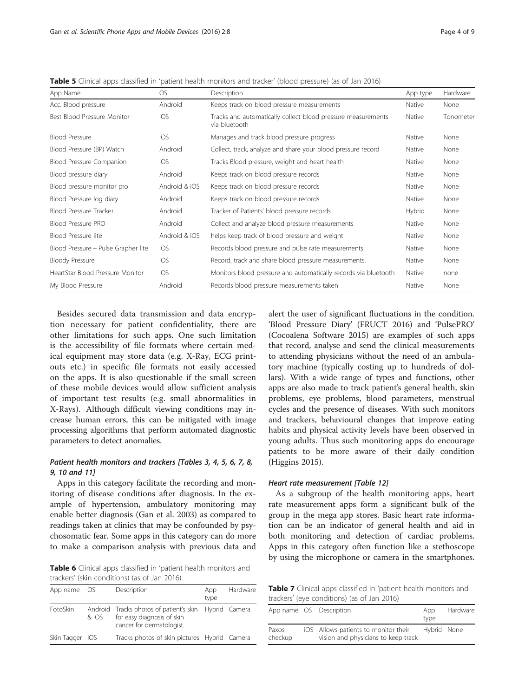|          |             | Table 5 Clinical apps classified in 'patient health monitors and tracker' (blood pressure) (as of Jan 2016) |  |
|----------|-------------|-------------------------------------------------------------------------------------------------------------|--|
| Ann Name | Description |                                                                                                             |  |

| App Name                            | OS.           | Description                                                                   | App type | Hardware  |
|-------------------------------------|---------------|-------------------------------------------------------------------------------|----------|-----------|
| Acc. Blood pressure                 | Android       | Keeps track on blood pressure measurements                                    | Native   | None      |
| Best Blood Pressure Monitor         | iOS           | Tracks and automatically collect blood pressure measurements<br>via bluetooth | Native   | Tonometer |
| <b>Blood Pressure</b>               | iOS           | Manages and track blood pressure progress                                     | Native   | None      |
| Blood Pressure (BP) Watch           | Android       | Collect, track, analyze and share your blood pressure record                  | Native   | None      |
| Blood Pressure Companion            | iOS           | Tracks Blood pressure, weight and heart health                                | Native   | None      |
| Blood pressure diary                | Android       | Keeps track on blood pressure records                                         | Native   | None      |
| Blood pressure monitor pro          | Android & iOS | Keeps track on blood pressure records                                         | Native   | None      |
| Blood Pressure log diary            | Android       | Keeps track on blood pressure records                                         | Native   | None      |
| Blood Pressure Tracker              | Android       | Tracker of Patients' blood pressure records                                   | Hybrid   | None      |
| <b>Blood Pressure PRO</b>           | Android       | Collect and analyze blood pressure measurements                               | Native   | None      |
| <b>Blood Pressure lite</b>          | Android & iOS | helps keep track of blood pressure and weight                                 | Native   | None      |
| Blood Pressure + Pulse Grapher lite | iOS           | Records blood pressure and pulse rate measurements                            | Native   | None      |
| <b>Bloody Pressure</b>              | iOS           | Record, track and share blood pressure measurements.                          | Native   | None      |
| HeartStar Blood Pressure Monitor    | iOS           | Monitors blood pressure and automatically records via bluetooth               | Native   | none      |
| My Blood Pressure                   | Android       | Records blood pressure measurements taken                                     | Native   | None      |

Besides secured data transmission and data encryption necessary for patient confidentiality, there are other limitations for such apps. One such limitation is the accessibility of file formats where certain medical equipment may store data (e.g. X-Ray, ECG printouts etc.) in specific file formats not easily accessed on the apps. It is also questionable if the small screen of these mobile devices would allow sufficient analysis of important test results (e.g. small abnormalities in X-Rays). Although difficult viewing conditions may increase human errors, this can be mitigated with image processing algorithms that perform automated diagnostic parameters to detect anomalies.

# Patient health monitors and trackers [Tables [3, 4](#page-2-0), 5, 6, 7, [8,](#page-4-0) [9](#page-4-0), [10](#page-4-0) and [11](#page-4-0)]

Apps in this category facilitate the recording and monitoring of disease conditions after diagnosis. In the example of hypertension, ambulatory monitoring may enable better diagnosis (Gan et al. [2003](#page-8-0)) as compared to readings taken at clinics that may be confounded by psychosomatic fear. Some apps in this category can do more to make a comparison analysis with previous data and

Table 6 Clinical apps classified in 'patient health monitors and trackers' (skin conditions) (as of Jan 2016)

| App name OS     |       | Description                                                                                                      | App<br>type | Hardware |
|-----------------|-------|------------------------------------------------------------------------------------------------------------------|-------------|----------|
| FotoSkin        | & iOS | Android Tracks photos of patient's skin Hybrid Camera<br>for easy diagnosis of skin<br>cancer for dermatologist. |             |          |
| Skin Tagger iOS |       | Tracks photos of skin pictures Hybrid Camera                                                                     |             |          |

alert the user of significant fluctuations in the condition. 'Blood Pressure Diary' (FRUCT [2016\)](#page-8-0) and 'PulsePRO' (Cocoalena Software [2015](#page-8-0)) are examples of such apps that record, analyse and send the clinical measurements to attending physicians without the need of an ambulatory machine (typically costing up to hundreds of dollars). With a wide range of types and functions, other apps are also made to track patient's general health, skin problems, eye problems, blood parameters, menstrual cycles and the presence of diseases. With such monitors and trackers, behavioural changes that improve eating habits and physical activity levels have been observed in young adults. Thus such monitoring apps do encourage patients to be more aware of their daily condition (Higgins [2015\)](#page-8-0).

# Heart rate measurement [Table [12](#page-5-0)]

As a subgroup of the health monitoring apps, heart rate measurement apps form a significant bulk of the group in the mega app stores. Basic heart rate information can be an indicator of general health and aid in both monitoring and detection of cardiac problems. Apps in this category often function like a stethoscope by using the microphone or camera in the smartphones.

Table 7 Clinical apps classified in 'patient health monitors and trackers' (eye conditions) (as of Jan 2016)

|                  | App name OS Description                                                                 | App<br>type | Hardware |
|------------------|-----------------------------------------------------------------------------------------|-------------|----------|
| Paxos<br>checkup | iOS Allows patients to monitor their Hybrid None<br>vision and physicians to keep track |             |          |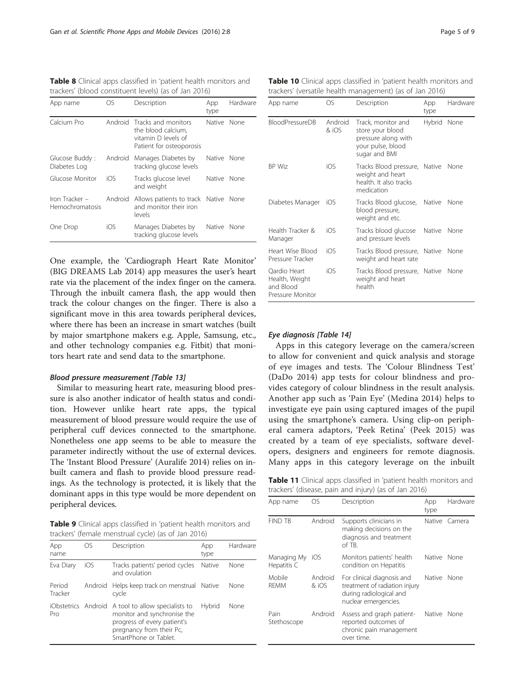<span id="page-4-0"></span>Table 8 Clinical apps classified in 'patient health monitors and trackers' (blood constituent levels) (as of Jan 2016)

| App name                          | OS      | Description                                                                                    | App<br>type   | Hardware |
|-----------------------------------|---------|------------------------------------------------------------------------------------------------|---------------|----------|
| Calcium Pro                       | Android | Tracks and monitors<br>the blood calcium,<br>vitamin $D$ levels of<br>Patient for osteoporosis | Native        | None     |
| Glucose Buddy:<br>Diabetes Log    | Android | Manages Diabetes by<br>tracking glucose levels                                                 | Native        | None     |
| Glucose Monitor                   | iOS     | Tracks glucose level<br>and weight                                                             | <b>Native</b> | None     |
| Iron Tracker -<br>Hemochromatosis | Android | Allows patients to track Native None<br>and monitor their iron<br>levels                       |               |          |
| One Drop                          | iOS     | Manages Diabetes by<br>tracking glucose levels                                                 | Native        | None     |

One example, the 'Cardiograph Heart Rate Monitor' (BIG DREAMS Lab [2014](#page-8-0)) app measures the user's heart rate via the placement of the index finger on the camera. Through the inbuilt camera flash, the app would then track the colour changes on the finger. There is also a significant move in this area towards peripheral devices, where there has been an increase in smart watches (built by major smartphone makers e.g. Apple, Samsung, etc., and other technology companies e.g. Fitbit) that monitors heart rate and send data to the smartphone.

#### Blood pressure measurement [Table [13\]](#page-5-0)

Similar to measuring heart rate, measuring blood pressure is also another indicator of health status and condition. However unlike heart rate apps, the typical measurement of blood pressure would require the use of peripheral cuff devices connected to the smartphone. Nonetheless one app seems to be able to measure the parameter indirectly without the use of external devices. The 'Instant Blood Pressure' (Auralife [2014\)](#page-8-0) relies on inbuilt camera and flash to provide blood pressure readings. As the technology is protected, it is likely that the dominant apps in this type would be more dependent on peripheral devices.

Table 9 Clinical apps classified in 'patient health monitors and trackers' (female menstrual cycle) (as of Jan 2016)

| App<br>name       | OS  | Description                                                                                                                                                           | App<br>type   | Hardware |
|-------------------|-----|-----------------------------------------------------------------------------------------------------------------------------------------------------------------------|---------------|----------|
| Eva Diary         | iOS | Tracks patients' period cycles<br>and ovulation                                                                                                                       | Native        | None     |
| Period<br>Tracker |     | Android Helps keep track on menstrual Native<br>cycle                                                                                                                 |               | None     |
| Pro               |     | iObstetrics Android A tool to allow specialists to<br>monitor and synchronise the<br>progress of every patient's<br>pregnancy from their Pc,<br>SmartPhone or Tablet. | <b>Hybrid</b> | None     |

Table 10 Clinical apps classified in 'patient health monitors and trackers' (versatile health management) (as of Jan 2016)

| App name                                                        | OS               | Description                                                                                         | App<br>type | Hardware |
|-----------------------------------------------------------------|------------------|-----------------------------------------------------------------------------------------------------|-------------|----------|
| <b>BloodPressureDB</b>                                          | Android<br>& iOS | Track, monitor and<br>store your blood<br>pressure along with<br>your pulse, blood<br>sugar and BMI | Hybrid      | None     |
| BP Wiz                                                          | iOS              | Tracks Blood pressure, Native<br>weight and heart<br>health. It also tracks<br>medication           |             | None     |
| Diabetes Manager                                                | iOS              | Tracks Blood glucose, Native<br>blood pressure,<br>weight and etc.                                  |             | None     |
| Health Tracker &<br>Manager                                     | iOS              | Tracks blood glucose<br>and pressure levels                                                         | Native      | None     |
| Heart Wise Blood<br>Pressure Tracker                            | iOS              | Tracks Blood pressure, Native<br>weight and heart rate                                              |             | None     |
| Qardio Heart<br>Health, Weight<br>and Blood<br>Pressure Monitor | iOS              | Tracks Blood pressure, Native<br>weight and heart<br>health                                         |             | None     |

#### Eye diagnosis [Table [14\]](#page-6-0)

Apps in this category leverage on the camera/screen to allow for convenient and quick analysis and storage of eye images and tests. The 'Colour Blindness Test' (DaDo [2014](#page-8-0)) app tests for colour blindness and provides category of colour blindness in the result analysis. Another app such as 'Pain Eye' (Medina [2014](#page-8-0)) helps to investigate eye pain using captured images of the pupil using the smartphone's camera. Using clip-on peripheral camera adaptors, 'Peek Retina' (Peek [2015](#page-8-0)) was created by a team of eye specialists, software developers, designers and engineers for remote diagnosis. Many apps in this category leverage on the inbuilt

Table 11 Clinical apps classified in 'patient health monitors and trackers' (disease, pain and injury) (as of Jan 2016)

| $u$ ackcis (uiscasc, pairi ariu irijury) (as or Jari zu iu) |                  |                                                                                                                |               |               |  |  |
|-------------------------------------------------------------|------------------|----------------------------------------------------------------------------------------------------------------|---------------|---------------|--|--|
| App name                                                    | OS               | Description                                                                                                    | App<br>type   | Hardware      |  |  |
| <b>FIND TB</b>                                              | Android          | Supports clinicians in<br>making decisions on the<br>diagnosis and treatment<br>of TB.                         |               | Native Camera |  |  |
| Managing My<br>Hepatitis C                                  | iOS              | Monitors patients' health<br>condition on Hepatitis                                                            | Native        | None          |  |  |
| Mobile<br>RFMM                                              | Android<br>& iOS | For clinical diagnosis and<br>treatment of radiation injury<br>during radiological and<br>nuclear emergencies. | <b>Native</b> | None          |  |  |
| Pain<br>Stethoscope                                         | Android          | Assess and graph patient-<br>reported outcomes of<br>chronic pain management<br>over time.                     | Native        | None          |  |  |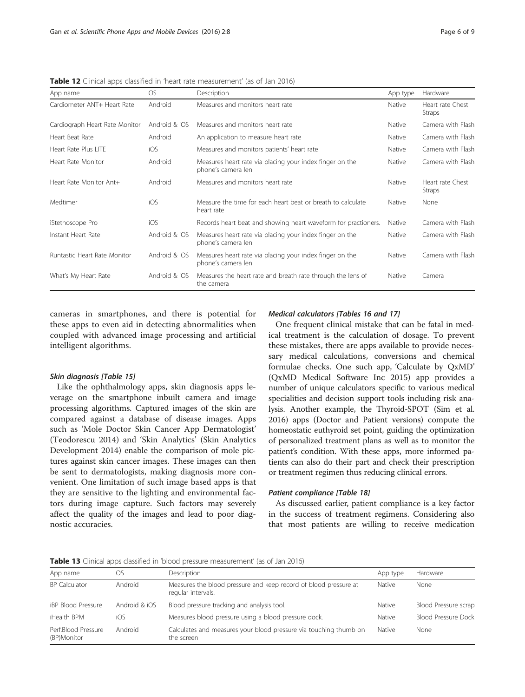| App name                       | <b>OS</b>     | Description                                                                    | App type | Hardware                          |
|--------------------------------|---------------|--------------------------------------------------------------------------------|----------|-----------------------------------|
| Cardiometer ANT+ Heart Rate    | Android       | Measures and monitors heart rate                                               | Native   | Heart rate Chest<br><b>Straps</b> |
| Cardiograph Heart Rate Monitor | Android & iOS | Measures and monitors heart rate                                               | Native   | Camera with Flash                 |
| Heart Beat Rate                | Android       | An application to measure heart rate                                           | Native   | Camera with Flash                 |
| Heart Rate Plus LITE           | iOS           | Measures and monitors patients' heart rate                                     | Native   | Camera with Flash                 |
| Heart Rate Monitor             | Android       | Measures heart rate via placing your index finger on the<br>phone's camera len | Native   | Camera with Flash                 |
| Heart Rate Monitor Ant+        | Android       | Measures and monitors heart rate                                               | Native   | Heart rate Chest<br><b>Straps</b> |
| Medtimer                       | iOS           | Measure the time for each heart beat or breath to calculate<br>heart rate      | Native   | None                              |
| iStethoscope Pro               | iOS           | Records heart beat and showing heart waveform for practioners.                 | Native   | Camera with Flash                 |
| Instant Heart Rate             | Android & iOS | Measures heart rate via placing your index finger on the<br>phone's camera len | Native   | Camera with Flash                 |
| Runtastic Heart Rate Monitor   | Android & iOS | Measures heart rate via placing your index finger on the<br>phone's camera len | Native   | Camera with Flash                 |
| What's My Heart Rate           | Android & iOS | Measures the heart rate and breath rate through the lens of<br>the camera      | Native   | Camera                            |

<span id="page-5-0"></span>Table 12 Clinical apps classified in 'heart rate measurement' (as of Jan 2016)

cameras in smartphones, and there is potential for these apps to even aid in detecting abnormalities when coupled with advanced image processing and artificial intelligent algorithms.

#### Skin diagnosis [Table [15\]](#page-6-0)

Like the ophthalmology apps, skin diagnosis apps leverage on the smartphone inbuilt camera and image processing algorithms. Captured images of the skin are compared against a database of disease images. Apps such as 'Mole Doctor Skin Cancer App Dermatologist' (Teodorescu [2014\)](#page-8-0) and 'Skin Analytics' (Skin Analytics Development [2014\)](#page-8-0) enable the comparison of mole pictures against skin cancer images. These images can then be sent to dermatologists, making diagnosis more convenient. One limitation of such image based apps is that they are sensitive to the lighting and environmental factors during image capture. Such factors may severely affect the quality of the images and lead to poor diagnostic accuracies.

### Medical calculators [Tables [16](#page-7-0) and [17](#page-7-0)]

One frequent clinical mistake that can be fatal in medical treatment is the calculation of dosage. To prevent these mistakes, there are apps available to provide necessary medical calculations, conversions and chemical formulae checks. One such app, 'Calculate by QxMD' (QxMD Medical Software Inc [2015\)](#page-8-0) app provides a number of unique calculators specific to various medical specialities and decision support tools including risk analysis. Another example, the Thyroid-SPOT (Sim et al. [2016](#page-8-0)) apps (Doctor and Patient versions) compute the homeostatic euthyroid set point, guiding the optimization of personalized treatment plans as well as to monitor the patient's condition. With these apps, more informed patients can also do their part and check their prescription or treatment regimen thus reducing clinical errors.

#### Patient compliance [Table [18](#page-8-0)]

As discussed earlier, patient compliance is a key factor in the success of treatment regimens. Considering also that most patients are willing to receive medication

**Table 13** Clinical apps classified in 'blood pressure measurement' (as of Jan 2016)

| App name                           | OS.           | Description                                                                            | App type | Hardware                   |
|------------------------------------|---------------|----------------------------------------------------------------------------------------|----------|----------------------------|
| <b>BP</b> Calculator               | Android       | Measures the blood pressure and keep record of blood pressure at<br>reqular intervals. | Native   | None                       |
| <b>iBP Blood Pressure</b>          | Android & iOS | Blood pressure tracking and analysis tool.                                             | Native   | Blood Pressure scrap       |
| iHealth BPM                        | iOS           | Measures blood pressure using a blood pressure dock.                                   | Native   | <b>Blood Pressure Dock</b> |
| Perf.Blood Pressure<br>(BP)Monitor | Android       | Calculates and measures your blood pressure via touching thumb on<br>the screen        | Native   | None                       |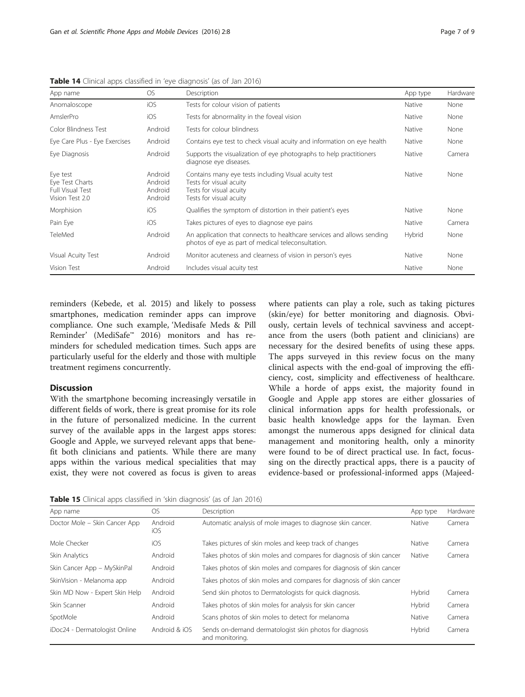| App name                                                           | OS.                                      | Description                                                                                                                           | App type      | Hardware |
|--------------------------------------------------------------------|------------------------------------------|---------------------------------------------------------------------------------------------------------------------------------------|---------------|----------|
| Anomaloscope                                                       | iOS                                      | Tests for colour vision of patients                                                                                                   | Native        | None     |
| AmslerPro                                                          | iOS                                      | Tests for abnormality in the foveal vision                                                                                            | Native        | None     |
| Color Blindness Test                                               | Android                                  | Tests for colour blindness                                                                                                            | Native        | None     |
| Eye Care Plus - Eye Exercises                                      | Android                                  | Contains eye test to check visual acuity and information on eye health                                                                | Native        | None     |
| Eye Diagnosis                                                      | Android                                  | Supports the visualization of eye photographs to help practitioners<br>diagnose eye diseases.                                         | Native        | Camera   |
| Eye test<br>Eye Test Charts<br>Full Visual Test<br>Vision Test 2.0 | Android<br>Android<br>Android<br>Android | Contains many eye tests including Visual acuity test<br>Tests for visual acuity<br>Tests for visual acuity<br>Tests for visual acuity | Native        | None     |
| Morphision                                                         | iOS                                      | Qualifies the symptom of distortion in their patient's eyes                                                                           | <b>Native</b> | None     |
| Pain Eye                                                           | iOS                                      | Takes pictures of eyes to diagnose eye pains                                                                                          | Native        | Camera   |
| TeleMed                                                            | Android                                  | An application that connects to healthcare services and allows sending<br>photos of eye as part of medical teleconsultation.          | Hybrid        | None     |
| Visual Acuity Test                                                 | Android                                  | Monitor acuteness and clearness of vision in person's eyes                                                                            | Native        | None     |
| Vision Test                                                        | Android                                  | Includes visual acuity test                                                                                                           | Native        | None     |

<span id="page-6-0"></span>Table 14 Clinical apps classified in 'eye diagnosis' (as of Jan 2016)

reminders (Kebede, et al. [2015](#page-8-0)) and likely to possess smartphones, medication reminder apps can improve compliance. One such example, 'Medisafe Meds & Pill Reminder' (MediSafe™ [2016](#page-8-0)) monitors and has reminders for scheduled medication times. Such apps are particularly useful for the elderly and those with multiple treatment regimens concurrently.

# **Discussion**

With the smartphone becoming increasingly versatile in different fields of work, there is great promise for its role in the future of personalized medicine. In the current survey of the available apps in the largest apps stores: Google and Apple, we surveyed relevant apps that benefit both clinicians and patients. While there are many apps within the various medical specialities that may exist, they were not covered as focus is given to areas where patients can play a role, such as taking pictures (skin/eye) for better monitoring and diagnosis. Obviously, certain levels of technical savviness and acceptance from the users (both patient and clinicians) are necessary for the desired benefits of using these apps. The apps surveyed in this review focus on the many clinical aspects with the end-goal of improving the efficiency, cost, simplicity and effectiveness of healthcare. While a horde of apps exist, the majority found in Google and Apple app stores are either glossaries of clinical information apps for health professionals, or basic health knowledge apps for the layman. Even amongst the numerous apps designed for clinical data management and monitoring health, only a minority were found to be of direct practical use. In fact, focussing on the directly practical apps, there is a paucity of evidence-based or professional-informed apps (Majeed-

Table 15 Clinical apps classified in 'skin diagnosis' (as of Jan 2016)

| App name                       | <b>OS</b>      | Description                                                                | App type | Hardware |
|--------------------------------|----------------|----------------------------------------------------------------------------|----------|----------|
| Doctor Mole - Skin Cancer App  | Android<br>iOS | Automatic analysis of mole images to diagnose skin cancer.                 | Native   | Camera   |
| Mole Checker                   | iOS            | Takes pictures of skin moles and keep track of changes                     | Native   | Camera   |
| Skin Analytics                 | Android        | Takes photos of skin moles and compares for diagnosis of skin cancer       | Native   | Camera   |
| Skin Cancer App - MySkinPal    | Android        | Takes photos of skin moles and compares for diagnosis of skin cancer       |          |          |
| SkinVision - Melanoma app      | Android        | Takes photos of skin moles and compares for diagnosis of skin cancer       |          |          |
| Skin MD Now - Expert Skin Help | Android        | Send skin photos to Dermatologists for quick diagnosis.                    | Hybrid   | Camera   |
| Skin Scanner                   | Android        | Takes photos of skin moles for analysis for skin cancer                    | Hybrid   | Camera   |
| SpotMole                       | Android        | Scans photos of skin moles to detect for melanoma                          | Native   | Camera   |
| iDoc24 - Dermatologist Online  | Android & iOS  | Sends on-demand dermatologist skin photos for diagnosis<br>and monitoring. | Hybrid   | Camera   |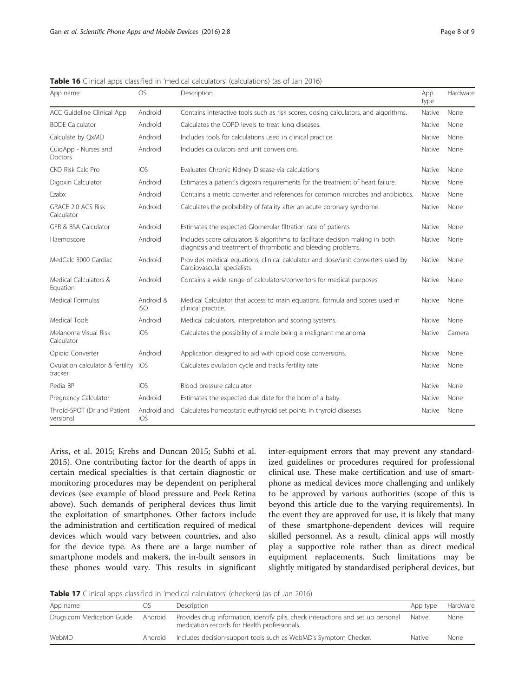| App name                                    | <b>OS</b>               | Description                                                                                                                                   | App<br>type | Hardware |
|---------------------------------------------|-------------------------|-----------------------------------------------------------------------------------------------------------------------------------------------|-------------|----------|
| ACC Guideline Clinical App                  | Android                 | Contains interactive tools such as risk scores, dosing calculators, and algorithms.                                                           | Native      | None     |
| <b>BODE Calculator</b>                      | Android                 | Calculates the COPD levels to treat lung diseases.                                                                                            | Native      | None     |
| Calculate by QxMD                           | Android                 | Includes tools for calculations used in clinical practice.                                                                                    | Native      | None     |
| CuidApp - Nurses and<br>Doctors             | Android                 | Includes calculators and unit conversions.                                                                                                    | Native      | None     |
| <b>CKD Risk Calc Pro</b>                    | iOS                     | Evaluates Chronic Kidney Disease via calculations                                                                                             | Native      | None     |
| Digoxin Calculator                          | Android                 | Estimates a patient's digoxin requirements for the treatment of heart failure.                                                                | Native      | None     |
| Ezabx                                       | Android                 | Contains a metric converter and references for common microbes and antibiotics.                                                               | Native      | None     |
| <b>GRACE 2.0 ACS Risk</b><br>Calculator     | Android                 | Calculates the probability of fatality after an acute coronary syndrome.                                                                      | Native      | None     |
| <b>GER &amp; BSA Calculator</b>             | Android                 | Estimates the expected Glomerular filtration rate of patients                                                                                 | Native      | None     |
| Haemoscore                                  | Android                 | Includes score calculators & algorithms to facilitate decision making in both<br>diagnosis and treatment of thrombotic and bleeding problems. | Native      | None     |
| MedCalc 3000 Cardiac                        | Android                 | Provides medical equations, clinical calculator and dose/unit converters used by<br>Cardiovascular specialists                                | Native      | None     |
| Medical Calculators &<br>Equation           | Android                 | Contains a wide range of calculators/convertors for medical purposes.                                                                         | Native      | None     |
| Medical Formulas                            | Android &<br><b>iSO</b> | Medical Calculator that access to main equations, formula and scores used in<br>clinical practice.                                            | Native      | None     |
| Medical Tools                               | Android                 | Medical calculators, interpretation and scoring systems.                                                                                      | Native      | None     |
| Melanoma Visual Risk<br>Calculator          | iOS                     | Calculates the possibility of a mole being a malignant melanoma                                                                               | Native      | Camera   |
| Opioid Converter                            | Android                 | Application designed to aid with opioid dose conversions.                                                                                     | Native      | None     |
| Ovulation calculator & fertility<br>tracker | iOS                     | Calculates ovulation cycle and tracks fertility rate                                                                                          | Native      | None     |
| Pedia BP                                    | iOS                     | Blood pressure calculator                                                                                                                     | Native      | None     |
| Pregnancy Calculator                        | Android                 | Estimates the expected due date for the born of a baby.                                                                                       | Native      | None     |
| Throid-SPOT (Dr and Patient<br>versions)    | Android and<br>iOS      | Calculates homeostatic euthryroid set points in thyroid diseases                                                                              | Native      | None     |

<span id="page-7-0"></span>Table 16 Clinical apps classified in 'medical calculators' (calculations) (as of Jan 2016)

Ariss, et al. [2015](#page-8-0); Krebs and Duncan [2015](#page-8-0); Subhi et al. [2015](#page-8-0)). One contributing factor for the dearth of apps in certain medical specialties is that certain diagnostic or monitoring procedures may be dependent on peripheral devices (see example of blood pressure and Peek Retina above). Such demands of peripheral devices thus limit the exploitation of smartphones. Other factors include the administration and certification required of medical devices which would vary between countries, and also for the device type. As there are a large number of smartphone models and makers, the in-built sensors in these phones would vary. This results in significant

inter-equipment errors that may prevent any standardized guidelines or procedures required for professional clinical use. These make certification and use of smartphone as medical devices more challenging and unlikely to be approved by various authorities (scope of this is beyond this article due to the varying requirements). In the event they are approved for use, it is likely that many of these smartphone-dependent devices will require skilled personnel. As a result, clinical apps will mostly play a supportive role rather than as direct medical equipment replacements. Such limitations may be slightly mitigated by standardised peripheral devices, but

**Table 17** Clinical apps classified in 'medical calculators' (checkers) (as of Jan 2016)

| App name                   |         | Description                                                                                                                       | App type      | Hardware |
|----------------------------|---------|-----------------------------------------------------------------------------------------------------------------------------------|---------------|----------|
| Drugs.com Medication Guide | Android | Provides drug information, identify pills, check interactions and set up personal<br>medication records for Health professionals. | <b>Native</b> | None     |
| WebMD                      | Android | Includes decision-support tools such as WebMD's Symptom Checker.                                                                  | Native        | None     |